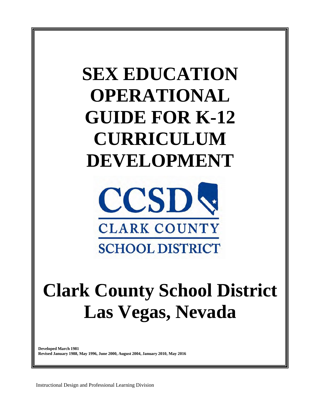# **SEX EDUCATION OPERATIONAL GUIDE FOR K-12 CURRICULUM DEVELOPMENT**



# **Clark County School District Las Vegas, Nevada**

**Developed March 1981 Revised January 1988, May 1996, June 2000, August 2004, January 2010, May 2016**

Instructional Design and Professional Learning Division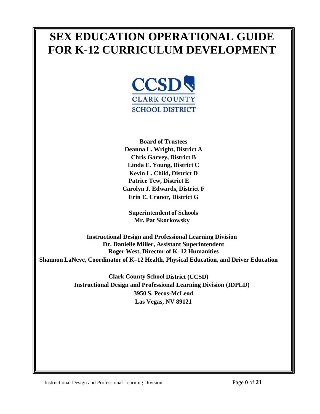# **SEX EDUCATION OPERATIONAL GUIDE FOR K-12 CURRICULUM DEVELOPMENT**



**Board of Trustees Deanna L. Wright, District A Chris Garvey, District B Linda E. Young, District C Kevin L. Child, District D Patrice Tew, District E Carolyn J. Edwards, District F Erin E. Cranor, District G**

**Superintendent of Schools Mr. Pat Skorkowsky**

**Instructional Design and Professional Learning Division Dr. Danielle Miller, Assistant Superintendent Roger West, Director of K–12 Humanities Shannon LaNeve, Coordinator of K–12 Health, Physical Education, and Driver Education**

> **Clark County School District (CCSD) Instructional Design and Professional Learning Division (IDPLD) 3950 S. Pecos-McLeod Las Vegas, NV 89121**

Instructional Design and Professional Learning Division Page **0** of **21**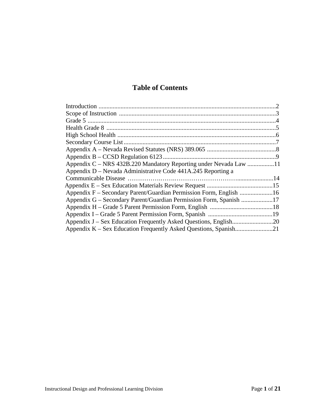# **Table of Contents**

| Appendix $B - CCSD$ Regulation 6123.                               |  |
|--------------------------------------------------------------------|--|
|                                                                    |  |
| Appendix D – Nevada Administrative Code 441A.245 Reporting a       |  |
|                                                                    |  |
|                                                                    |  |
|                                                                    |  |
| Appendix G – Secondary Parent/Guardian Permission Form, Spanish 17 |  |
|                                                                    |  |
|                                                                    |  |
| Appendix J – Sex Education Frequently Asked Questions, English20   |  |
|                                                                    |  |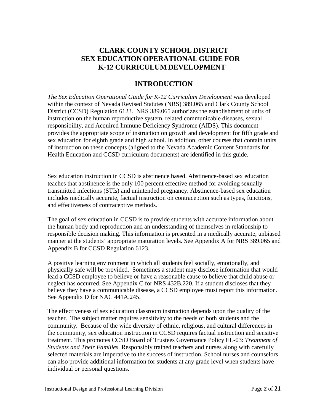# **CLARK COUNTY SCHOOL DISTRICT SEX EDUCATION OPERATIONAL GUIDE FOR K-12 CURRICULUM DEVELOPMENT**

## **INTRODUCTION**

*The Sex Education Operational Guide for K-12 Curriculum Development* was developed within the context of Nevada Revised Statutes (NRS) 389.065 and Clark County School District (CCSD) Regulation 6123. NRS 389.065 authorizes the establishment of units of instruction on the human reproductive system, related communicable diseases, sexual responsibility, and Acquired Immune Deficiency Syndrome (AIDS). This document provides the appropriate scope of instruction on growth and development for fifth grade and sex education for eighth grade and high school. In addition, other courses that contain units of instruction on these concepts (aligned to the Nevada Academic Content Standards for Health Education and CCSD curriculum documents) are identified in this guide.

Sex education instruction in CCSD is abstinence based. Abstinence-based sex education teaches that abstinence is the only 100 percent effective method for avoiding sexually transmitted infections (STIs) and unintended pregnancy. Abstinence-based sex education includes medically accurate, factual instruction on contraception such as types, functions, and effectiveness of contraceptive methods.

The goal of sex education in CCSD is to provide students with accurate information about the human body and reproduction and an understanding of themselves in relationship to responsible decision making. This information is presented in a medically accurate, unbiased manner at the students' appropriate maturation levels. See Appendix A for NRS 389.065 and Appendix B for CCSD Regulation 6123.

A positive learning environment in which all students feel socially, emotionally, and physically safe will be provided. Sometimes a student may disclose information that would lead a CCSD employee to believe or have a reasonable cause to believe that child abuse or neglect has occurred. See Appendix C for NRS 432B.220. If a student discloses that they believe they have a communicable disease, a CCSD employee must report this information. See Appendix D for NAC 441A.245.

The effectiveness of sex education classroom instruction depends upon the quality of the teacher. The subject matter requires sensitivity to the needs of both students and the community. Because of the wide diversity of ethnic, religious, and cultural differences in the community, sex education instruction in CCSD requires factual instruction and sensitive treatment. This promotes CCSD Board of Trustees Governance Policy EL-03: *Treatment of Students and Their Families.* Responsibly trained teachers and nurses along with carefully selected materials are imperative to the success of instruction. School nurses and counselors can also provide additional information for students at any grade level when students have individual or personal questions.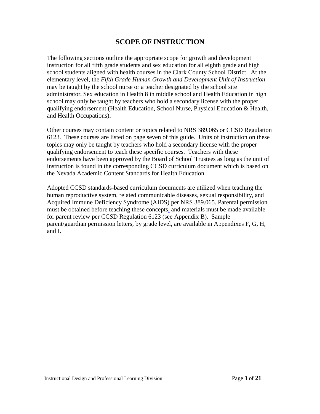# **SCOPE OF INSTRUCTION**

The following sections outline the appropriate scope for growth and development instruction for all fifth grade students and sex education for all eighth grade and high school students aligned with health courses in the Clark County School District. At the elementary level, the *Fifth Grade Human Growth and Development Unit of Instruction*  may be taught by the school nurse or a teacher designated by the school site administrator**.** Sex education in Health 8 in middle school and Health Education in high school may only be taught by teachers who hold a secondary license with the proper qualifying endorsement (Health Education, School Nurse, Physical Education & Health, and Health Occupations)**.**

Other courses may contain content or topics related to NRS 389.065 or CCSD Regulation 6123. These courses are listed on page seven of this guide. Units of instruction on these topics may only be taught by teachers who hold a secondary license with the proper qualifying endorsement to teach these specific courses. Teachers with these endorsements have been approved by the Board of School Trustees as long as the unit of instruction is found in the corresponding CCSD curriculum document which is based on the Nevada Academic Content Standards for Health Education.

Adopted CCSD standards-based curriculum documents are utilized when teaching the human reproductive system, related communicable diseases, sexual responsibility, and Acquired Immune Deficiency Syndrome (AIDS) per NRS 389.065. Parental permission must be obtained before teaching these concepts, and materials must be made available for parent review per CCSD Regulation 6123 (see Appendix B). Sample parent/guardian permission letters, by grade level, are available in Appendixes F, G, H, and I.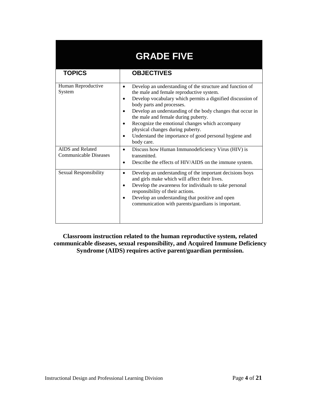|                                                  | <b>GRADE FIVE</b>                                                                                                                                                                                                                                                                                                                                                                                                                                                                 |
|--------------------------------------------------|-----------------------------------------------------------------------------------------------------------------------------------------------------------------------------------------------------------------------------------------------------------------------------------------------------------------------------------------------------------------------------------------------------------------------------------------------------------------------------------|
| <b>TOPICS</b>                                    | <b>OBJECTIVES</b>                                                                                                                                                                                                                                                                                                                                                                                                                                                                 |
| Human Reproductive<br>System                     | Develop an understanding of the structure and function of<br>$\bullet$<br>the male and female reproductive system.<br>Develop vocabulary which permits a dignified discussion of<br>body parts and processes.<br>Develop an understanding of the body changes that occur in<br>the male and female during puberty.<br>Recognize the emotional changes which accompany<br>physical changes during puberty.<br>Understand the importance of good personal hygiene and<br>body care. |
| AIDS and Related<br><b>Communicable Diseases</b> | Discuss how Human Immunodeficiency Virus (HIV) is<br>$\bullet$<br>transmitted.<br>Describe the effects of HIV/AIDS on the immune system.                                                                                                                                                                                                                                                                                                                                          |
| Sexual Responsibility                            | Develop an understanding of the important decisions boys<br>$\bullet$<br>and girls make which will affect their lives.<br>Develop the awareness for individuals to take personal<br>responsibility of their actions.<br>Develop an understanding that positive and open<br>communication with parents/guardians is important.                                                                                                                                                     |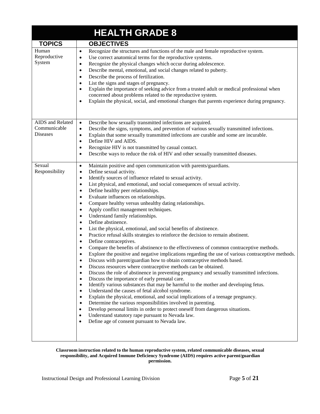|                                                     | <b>HEALTH GRADE 8</b>                                                                                                                                                                                                                                                                                                                                                                                                                                                                                                                                                                                                                                                                                                                                                                                                                                                                                                                                                                                                                                                                                                                                                                                                                                                                                                                                                                                                                                                                                                                                                                                                                                                                                                                                                                                                                                                            |
|-----------------------------------------------------|----------------------------------------------------------------------------------------------------------------------------------------------------------------------------------------------------------------------------------------------------------------------------------------------------------------------------------------------------------------------------------------------------------------------------------------------------------------------------------------------------------------------------------------------------------------------------------------------------------------------------------------------------------------------------------------------------------------------------------------------------------------------------------------------------------------------------------------------------------------------------------------------------------------------------------------------------------------------------------------------------------------------------------------------------------------------------------------------------------------------------------------------------------------------------------------------------------------------------------------------------------------------------------------------------------------------------------------------------------------------------------------------------------------------------------------------------------------------------------------------------------------------------------------------------------------------------------------------------------------------------------------------------------------------------------------------------------------------------------------------------------------------------------------------------------------------------------------------------------------------------------|
| <b>TOPICS</b>                                       | <b>OBJECTIVES</b>                                                                                                                                                                                                                                                                                                                                                                                                                                                                                                                                                                                                                                                                                                                                                                                                                                                                                                                                                                                                                                                                                                                                                                                                                                                                                                                                                                                                                                                                                                                                                                                                                                                                                                                                                                                                                                                                |
| Human<br>Reproductive<br>System                     | Recognize the structures and functions of the male and female reproductive system.<br>$\bullet$<br>Use correct anatomical terms for the reproductive systems.<br>$\bullet$<br>Recognize the physical changes which occur during adolescence.<br>$\bullet$<br>Describe mental, emotional, and social changes related to puberty.<br>$\bullet$<br>Describe the process of fertilization.<br>$\bullet$<br>List the signs and stages of pregnancy.<br>Explain the importance of seeking advice from a trusted adult or medical professional when<br>$\bullet$<br>concerned about problems related to the reproductive system.<br>Explain the physical, social, and emotional changes that parents experience during pregnancy.<br>٠                                                                                                                                                                                                                                                                                                                                                                                                                                                                                                                                                                                                                                                                                                                                                                                                                                                                                                                                                                                                                                                                                                                                                  |
| AIDS and Related<br>Communicable<br><b>Diseases</b> | Describe how sexually transmitted infections are acquired.<br>$\bullet$<br>Describe the signs, symptoms, and prevention of various sexually transmitted infections.<br>٠<br>Explain that some sexually transmitted infections are curable and some are incurable.<br>٠<br>Define HIV and AIDS.<br>٠<br>Recognize HIV is not transmitted by casual contact.<br>٠<br>Describe ways to reduce the risk of HIV and other sexually transmitted diseases.                                                                                                                                                                                                                                                                                                                                                                                                                                                                                                                                                                                                                                                                                                                                                                                                                                                                                                                                                                                                                                                                                                                                                                                                                                                                                                                                                                                                                              |
| Sexual<br>Responsibility                            | Maintain positive and open communication with parents/guardians.<br>$\bullet$<br>Define sexual activity.<br>$\bullet$<br>Identify sources of influence related to sexual activity.<br>$\bullet$<br>List physical, and emotional, and social consequences of sexual activity.<br>٠<br>Define healthy peer relationships.<br>٠<br>Evaluate influences on relationships.<br>Compare healthy versus unhealthy dating relationships.<br>٠<br>Apply conflict management techniques.<br>٠<br>Understand family relationships.<br>$\bullet$<br>Define abstinence.<br>$\bullet$<br>List the physical, emotional, and social benefits of abstinence.<br>Practice refusal skills strategies to reinforce the decision to remain abstinent.<br>Define contraceptives.<br>٠<br>Compare the benefits of abstinence to the effectiveness of common contraceptive methods.<br>Explore the positive and negative implications regarding the use of various contraceptive methods.<br>Discuss with parent/guardian how to obtain contraceptive methods based.<br>Discuss resources where contraceptive methods can be obtained.<br>$\bullet$<br>Discuss the role of abstinence in preventing pregnancy and sexually transmitted infections.<br>٠<br>Discuss the importance of early prenatal care.<br>$\bullet$<br>Identify various substances that may be harmful to the mother and developing fetus.<br>$\bullet$<br>Understand the causes of fetal alcohol syndrome.<br>$\bullet$<br>Explain the physical, emotional, and social implications of a teenage pregnancy.<br>$\bullet$<br>Determine the various responsibilities involved in parenting.<br>$\bullet$<br>Develop personal limits in order to protect oneself from dangerous situations.<br>$\bullet$<br>Understand statutory rape pursuant to Nevada law.<br>$\bullet$<br>Define age of consent pursuant to Nevada law.<br>$\bullet$ |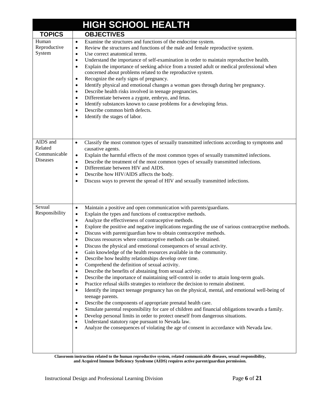|                                                        | <b>HIGH SCHOOL HEALTH</b>                                                                                                                                                                                                                                                                                                                                                                                                                                                                                                                                                                                                                                                                                                                                                                                                                                                                                                                                                                                                                                                                                                                                                                                                                                                                                                                                                                                                                                                                                                                                                                                    |
|--------------------------------------------------------|--------------------------------------------------------------------------------------------------------------------------------------------------------------------------------------------------------------------------------------------------------------------------------------------------------------------------------------------------------------------------------------------------------------------------------------------------------------------------------------------------------------------------------------------------------------------------------------------------------------------------------------------------------------------------------------------------------------------------------------------------------------------------------------------------------------------------------------------------------------------------------------------------------------------------------------------------------------------------------------------------------------------------------------------------------------------------------------------------------------------------------------------------------------------------------------------------------------------------------------------------------------------------------------------------------------------------------------------------------------------------------------------------------------------------------------------------------------------------------------------------------------------------------------------------------------------------------------------------------------|
| <b>TOPICS</b>                                          | <b>OBJECTIVES</b>                                                                                                                                                                                                                                                                                                                                                                                                                                                                                                                                                                                                                                                                                                                                                                                                                                                                                                                                                                                                                                                                                                                                                                                                                                                                                                                                                                                                                                                                                                                                                                                            |
| Human<br>Reproductive<br>System                        | Examine the structures and functions of the endocrine system.<br>$\bullet$<br>Review the structures and functions of the male and female reproductive system.<br>$\bullet$<br>Use correct anatomical terms.<br>$\bullet$<br>Understand the importance of self-examination in order to maintain reproductive health.<br>$\bullet$<br>Explain the importance of seeking advice from a trusted adult or medical professional when<br>$\bullet$<br>concerned about problems related to the reproductive system.<br>Recognize the early signs of pregnancy.<br>$\bullet$<br>Identify physical and emotional changes a woman goes through during her pregnancy.<br>$\bullet$<br>Describe health risks involved in teenage pregnancies.<br>$\bullet$<br>Differentiate between a zygote, embryo, and fetus.<br>$\bullet$<br>Identify substances known to cause problems for a developing fetus.<br>$\bullet$<br>Describe common birth defects.<br>$\bullet$<br>Identify the stages of labor.<br>$\bullet$                                                                                                                                                                                                                                                                                                                                                                                                                                                                                                                                                                                                            |
| AIDS and<br>Related<br>Communicable<br><b>Diseases</b> | Classify the most common types of sexually transmitted infections according to symptoms and<br>$\bullet$<br>causative agents.<br>Explain the harmful effects of the most common types of sexually transmitted infections.<br>٠<br>Describe the treatment of the most common types of sexually transmitted infections.<br>$\bullet$<br>Differentiate between HIV and AIDS.<br>$\bullet$<br>Describe how HIV/AIDS affects the body.<br>٠<br>Discuss ways to prevent the spread of HIV and sexually transmitted infections.<br>$\bullet$                                                                                                                                                                                                                                                                                                                                                                                                                                                                                                                                                                                                                                                                                                                                                                                                                                                                                                                                                                                                                                                                        |
| Sexual<br>Responsibility                               | Maintain a positive and open communication with parents/guardians.<br>$\bullet$<br>Explain the types and functions of contraceptive methods.<br>$\bullet$<br>Analyze the effectiveness of contraceptive methods.<br>$\bullet$<br>Explore the positive and negative implications regarding the use of various contraceptive methods.<br>$\bullet$<br>Discuss with parent/guardian how to obtain contraceptive methods.<br>$\bullet$<br>Discuss resources where contraceptive methods can be obtained.<br>$\bullet$<br>Discuss the physical and emotional consequences of sexual activity.<br>Gain knowledge of the health resources available in the community.<br>Describe how healthy relationships develop over time.<br>$\bullet$<br>Comprehend the definition of sexual activity.<br>٠<br>Describe the benefits of abstaining from sexual activity.<br>٠<br>Describe the importance of maintaining self-control in order to attain long-term goals.<br>٠<br>Practice refusal skills strategies to reinforce the decision to remain abstinent.<br>٠<br>Identify the impact teenage pregnancy has on the physical, mental, and emotional well-being of<br>٠<br>teenage parents.<br>Describe the components of appropriate prenatal health care.<br>٠<br>Simulate parental responsibility for care of children and financial obligations towards a family.<br>٠<br>Develop personal limits in order to protect oneself from dangerous situations.<br>٠<br>Understand statutory rape pursuant to Nevada law.<br>Analyze the consequences of violating the age of consent in accordance with Nevada law.<br>٠ |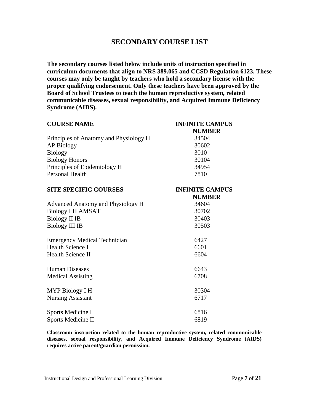## **SECONDARY COURSE LIST**

**The secondary courses listed below include units of instruction specified in curriculum documents that align to NRS 389.065 and CCSD Regulation 6123. These courses may only be taught by teachers who hold a secondary license with the proper qualifying endorsement. Only these teachers have been approved by the Board of School Trustees to teach the human reproductive system, related communicable diseases, sexual responsibility, and Acquired Immune Deficiency Syndrome (AIDS).**

| <b>COURSE NAME</b>                     | <b>INFINITE CAMPUS</b> |  |
|----------------------------------------|------------------------|--|
|                                        | <b>NUMBER</b>          |  |
| Principles of Anatomy and Physiology H | 34504                  |  |
| <b>AP Biology</b>                      | 30602                  |  |
| <b>Biology</b>                         | 3010                   |  |
| <b>Biology Honors</b>                  | 30104                  |  |
| Principles of Epidemiology H           | 34954                  |  |
| Personal Health                        | 7810                   |  |
| <b>SITE SPECIFIC COURSES</b>           | <b>INFINITE CAMPUS</b> |  |
|                                        | <b>NUMBER</b>          |  |
| Advanced Anatomy and Physiology H      | 34604                  |  |
| <b>Biology I H AMSAT</b>               | 30702                  |  |
| <b>Biology II IB</b>                   | 30403                  |  |
| <b>Biology III IB</b>                  | 30503                  |  |
| <b>Emergency Medical Technician</b>    | 6427                   |  |
| <b>Health Science I</b>                | 6601                   |  |
| Health Science II                      | 6604                   |  |
| <b>Human Diseases</b>                  | 6643                   |  |
| <b>Medical Assisting</b>               | 6708                   |  |
| MYP Biology I H                        | 30304                  |  |
| <b>Nursing Assistant</b>               | 6717                   |  |
| Sports Medicine I                      | 6816                   |  |
| <b>Sports Medicine II</b>              | 6819                   |  |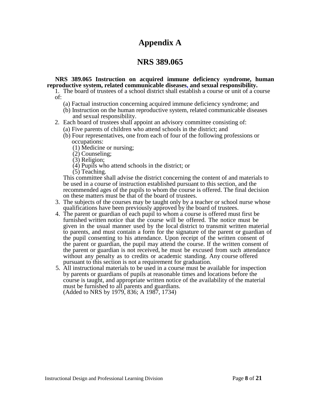# **Appendix A**

# **NRS 389.065**

#### **NRS 389.065 Instruction on acquired immune deficiency syndrome, human reproductive system, related communicable diseases, and sexual responsibility.**

- 1. The board of trustees of a school district shall establish a course or unit of a course of:
	- (a) Factual instruction concerning acquired immune deficiency syndrome; and
	- (b) Instruction on the human reproductive system, related communicable diseases and sexual responsibility.
- 2. Each board of trustees shall appoint an advisory committee consisting of:
	- (a) Five parents of children who attend schools in the district; and
	- (b) Four representatives, one from each of four of the following professions or occupations:
		- (1) Medicine or nursing;
		- (2) Counseling;
		- (3) Religion;
		- (4) Pupils who attend schools in the district; or
		- (5) Teaching.

This committee shall advise the district concerning the content of and materials to be used in a course of instruction established pursuant to this section, and the recommended ages of the pupils to whom the course is offered. The final decision

- 3. The subjects of the courses may be taught only by a teacher or school nurse whose qualifications have been previously approved by the board of trustees.
- 4. The parent or guardian of each pupil to whom a course is offered must first be furnished written notice that the course will be offered. The notice must be given in the usual manner used by the local district to transmit written material to parents, and must contain a form for the signature of the parent or guardian of the pupil consenting to his attendance. Upon receipt of the written consent of the parent or guardian, the pupil may attend the course. If the written consent of the parent or guardian is not received, he must be excused from such attendance without any penalty as to credits or academic standing. Any course offered pursuant to this section is not a requirement for graduation.
- 5. All instructional materials to be used in a course must be available for inspection by parents or guardians of pupils at reasonable times and locations before the course is taught, and appropriate written notice of the availability of the material must be furnished to all parents and guardians. (Added to NRS by 1979, 836; A 1987, 1734)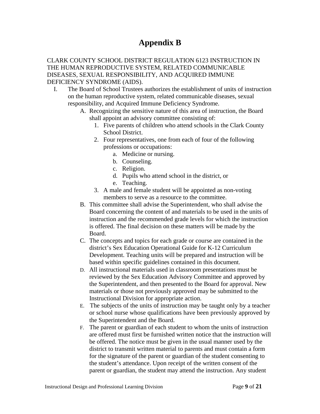# **Appendix B**

#### CLARK COUNTY SCHOOL DISTRICT REGULATION 6123 INSTRUCTION IN THE HUMAN REPRODUCTIVE SYSTEM, RELATED COMMUNICABLE DISEASES, SEXUAL RESPONSIBILITY, AND ACQUIRED IMMUNE DEFICIENCY SYNDROME (AIDS).

- I. The Board of School Trustees authorizes the establishment of units of instruction on the human reproductive system, related communicable diseases, sexual responsibility, and Acquired Immune Deficiency Syndrome.
	- A. Recognizing the sensitive nature of this area of instruction, the Board shall appoint an advisory committee consisting of:
		- 1. Five parents of children who attend schools in the Clark County School District.
		- 2. Four representatives, one from each of four of the following professions or occupations:
			- a. Medicine or nursing.
			- b. Counseling.
			- c. Religion.
			- d. Pupils who attend school in the district, or
			- e. Teaching.
		- 3. A male and female student will be appointed as non-voting members to serve as a resource to the committee.
	- B. This committee shall advise the Superintendent, who shall advise the Board concerning the content of and materials to be used in the units of instruction and the recommended grade levels for which the instruction is offered. The final decision on these matters will be made by the Board.
	- C. The concepts and topics for each grade or course are contained in the district's Sex Education Operational Guide for K-12 Curriculum Development. Teaching units will be prepared and instruction will be based within specific guidelines contained in this document.
	- D. All instructional materials used in classroom presentations must be reviewed by the Sex Education Advisory Committee and approved by the Superintendent, and then presented to the Board for approval. New materials or those not previously approved may be submitted to the Instructional Division for appropriate action.
	- E. The subjects of the units of instruction may be taught only by a teacher or school nurse whose qualifications have been previously approved by the Superintendent and the Board.
	- F. The parent or guardian of each student to whom the units of instruction are offered must first be furnished written notice that the instruction will be offered. The notice must be given in the usual manner used by the district to transmit written material to parents and must contain a form for the signature of the parent or guardian of the student consenting to the student's attendance. Upon receipt of the written consent of the parent or guardian, the student may attend the instruction. Any student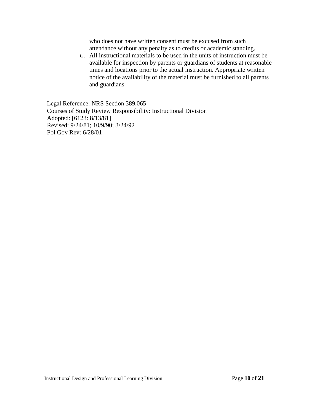who does not have written consent must be excused from such attendance without any penalty as to credits or academic standing.

G. All instructional materials to be used in the units of instruction must be available for inspection by parents or guardians of students at reasonable times and locations prior to the actual instruction. Appropriate written notice of the availability of the material must be furnished to all parents and guardians.

Legal Reference: NRS Section 389.065 Courses of Study Review Responsibility: Instructional Division Adopted: [6123: 8/13/81] Revised: 9/24/81; 10/9/90; 3/24/92 Pol Gov Rev: 6/28/01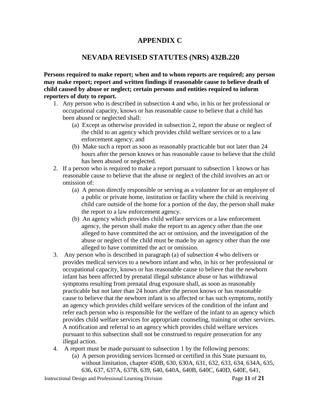# **APPENDIX C**

# **NEVADA REVISED STATUTES (NRS) 432B.220**

**Persons required to make report; when and to whom reports are required; any person may make report; report and written findings if reasonable cause to believe death of child caused by abuse or neglect; certain persons and entities required to inform reporters of duty to report.**

- 1. Any person who is described in subsection 4 and who, in his or her professional or occupational capacity, knows or has reasonable cause to believe that a child has been abused or neglected shall:
	- (a) Except as otherwise provided in subsection 2, report the abuse or neglect of the child to an agency which provides child welfare services or to a law enforcement agency; and
	- (b) Make such a report as soon as reasonably practicable but not later than 24 hours after the person knows or has reasonable cause to believe that the child has been abused or neglected.
- 2. If a person who is required to make a report pursuant to subsection 1 knows or has reasonable cause to believe that the abuse or neglect of the child involves an act or omission of:
	- (a) A person directly responsible or serving as a volunteer for or an employee of a public or private home, institution or facility where the child is receiving child care outside of the home for a portion of the day, the person shall make the report to a law enforcement agency.
	- (b) An agency which provides child welfare services or a law enforcement agency, the person shall make the report to an agency other than the one alleged to have committed the act or omission, and the investigation of the abuse or neglect of the child must be made by an agency other than the one alleged to have committed the act or omission.
- 3. Any person who is described in paragraph (a) of subsection 4 who delivers or provides medical services to a newborn infant and who, in his or her professional or occupational capacity, knows or has reasonable cause to believe that the newborn infant has been affected by prenatal illegal substance abuse or has withdrawal symptoms resulting from prenatal drug exposure shall, as soon as reasonably practicable but not later than 24 hours after the person knows or has reasonable cause to believe that the newborn infant is so affected or has such symptoms, notify an agency which provides child welfare services of the condition of the infant and refer each person who is responsible for the welfare of the infant to an agency which provides child welfare services for appropriate counseling, training or other services. A notification and referral to an agency which provides child welfare services pursuant to this subsection shall not be construed to require prosecution for any illegal action.
- 4. A report must be made pursuant to subsection 1 by the following persons:
	- (a) A person providing services licensed or certified in this State pursuant to, without limitation, [chapter 450B,](http://www.leg.state.nv.us/NRS/NRS-450B.html#NRS450B) [630,](http://www.leg.state.nv.us/NRS/NRS-630.html#NRS630) [630A,](http://www.leg.state.nv.us/NRS/NRS-630A.html#NRS630A) [631,](http://www.leg.state.nv.us/NRS/NRS-631.html#NRS631) [632,](http://www.leg.state.nv.us/NRS/NRS-632.html#NRS632) [633,](http://www.leg.state.nv.us/NRS/NRS-633.html#NRS633) [634,](http://www.leg.state.nv.us/NRS/NRS-634.html#NRS634) [634A,](http://www.leg.state.nv.us/NRS/NRS-634A.html#NRS634A) 635, [636,](http://www.leg.state.nv.us/NRS/NRS-636.html#NRS636) [637,](http://www.leg.state.nv.us/NRS/NRS-637.html#NRS637) [637A,](http://www.leg.state.nv.us/NRS/NRS-637A.html#NRS637A) [637B,](http://www.leg.state.nv.us/NRS/NRS-637B.html#NRS637B) [639,](http://www.leg.state.nv.us/NRS/NRS-639.html#NRS639) [640,](http://www.leg.state.nv.us/NRS/NRS-640.html#NRS640) [640A,](http://www.leg.state.nv.us/NRS/NRS-640A.html#NRS640A) [640B,](http://www.leg.state.nv.us/NRS/NRS-640B.html#NRS640B) [640C,](http://www.leg.state.nv.us/NRS/NRS-640C.html#NRS640C) [640D,](http://www.leg.state.nv.us/NRS/NRS-640D.html#NRS640D) [640E,](http://www.leg.state.nv.us/NRS/NRS-640E.html#NRS640E) [641,](http://www.leg.state.nv.us/NRS/NRS-641.html#NRS641)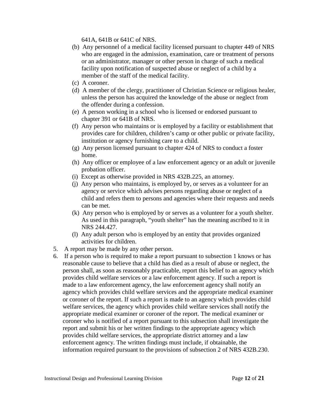[641A,](http://www.leg.state.nv.us/NRS/NRS-641A.html#NRS641A) [641B](http://www.leg.state.nv.us/NRS/NRS-641B.html#NRS641B) or [641C](http://www.leg.state.nv.us/NRS/NRS-641C.html#NRS641C) of NRS.

- (b) Any personnel of a medical facility licensed pursuant to [chapter 449](http://www.leg.state.nv.us/NRS/NRS-449.html#NRS449) of NRS who are engaged in the admission, examination, care or treatment of persons or an administrator, manager or other person in charge of such a medical facility upon notification of suspected abuse or neglect of a child by a member of the staff of the medical facility.
- (c) A coroner.
- (d) A member of the clergy, practitioner of Christian Science or religious healer, unless the person has acquired the knowledge of the abuse or neglect from the offender during a confession.
- (e) A person working in a school who is licensed or endorsed pursuant to [chapter 391](http://www.leg.state.nv.us/NRS/NRS-391.html#NRS391) or [641B](http://www.leg.state.nv.us/NRS/NRS-641B.html#NRS641B) of NRS.
- (f) Any person who maintains or is employed by a facility or establishment that provides care for children, children's camp or other public or private facility, institution or agency furnishing care to a child.
- (g) Any person licensed pursuant to [chapter 424](http://www.leg.state.nv.us/NRS/NRS-424.html#NRS424) of NRS to conduct a foster home.
- (h) Any officer or employee of a law enforcement agency or an adult or juvenile probation officer.
- (i) Except as otherwise provided in [NRS 432B.225,](http://www.leg.state.nv.us/NRS/NRS-432B.html#NRS432BSec225) an attorney.
- (j) Any person who maintains, is employed by, or serves as a volunteer for an agency or service which advises persons regarding abuse or neglect of a child and refers them to persons and agencies where their requests and needs can be met.
- (k) Any person who is employed by or serves as a volunteer for a youth shelter. As used in this paragraph, "youth shelter" has the meaning ascribed to it in [NRS 244.427.](http://www.leg.state.nv.us/NRS/NRS-244.html#NRS244Sec427)
- (l) Any adult person who is employed by an entity that provides organized activities for children.
- 5. A report may be made by any other person.
- 6. If a person who is required to make a report pursuant to subsection 1 knows or has reasonable cause to believe that a child has died as a result of abuse or neglect, the person shall, as soon as reasonably practicable, report this belief to an agency which provides child welfare services or a law enforcement agency. If such a report is made to a law enforcement agency, the law enforcement agency shall notify an agency which provides child welfare services and the appropriate medical examiner or coroner of the report. If such a report is made to an agency which provides child welfare services, the agency which provides child welfare services shall notify the appropriate medical examiner or coroner of the report. The medical examiner or coroner who is notified of a report pursuant to this subsection shall investigate the report and submit his or her written findings to the appropriate agency which provides child welfare services, the appropriate district attorney and a law enforcement agency. The written findings must include, if obtainable, the information required pursuant to the provisions of subsection 2 of [NRS 432B.230.](http://www.leg.state.nv.us/NRS/NRS-432B.html#NRS432BSec230)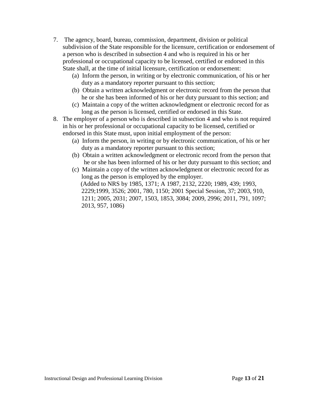- 7. The agency, board, bureau, commission, department, division or political subdivision of the State responsible for the licensure, certification or endorsement of a person who is described in subsection 4 and who is required in his or her professional or occupational capacity to be licensed, certified or endorsed in this State shall, at the time of initial licensure, certification or endorsement:
	- (a) Inform the person, in writing or by electronic communication, of his or her duty as a mandatory reporter pursuant to this section;
	- (b) Obtain a written acknowledgment or electronic record from the person that he or she has been informed of his or her duty pursuant to this section; and
	- (c) Maintain a copy of the written acknowledgment or electronic record for as long as the person is licensed, certified or endorsed in this State.
- 8. The employer of a person who is described in subsection 4 and who is not required in his or her professional or occupational capacity to be licensed, certified or endorsed in this State must, upon initial employment of the person:
	- (a) Inform the person, in writing or by electronic communication, of his or her duty as a mandatory reporter pursuant to this section;
	- (b) Obtain a written acknowledgment or electronic record from the person that he or she has been informed of his or her duty pursuant to this section; and
	- (c) Maintain a copy of the written acknowledgment or electronic record for as long as the person is employed by the employer. (Added to NRS by [1985, 1371;](http://www.leg.state.nv.us/Statutes/63rd/Stats198506.html#Stats198506page1371) A [1987, 2132,](http://www.leg.state.nv.us/Statutes/64th/Stats198709.html#Stats198709page2132) [2220;](http://www.leg.state.nv.us/Statutes/64th/Stats198710.html#Stats198710page2220) [1989, 439;](http://www.leg.state.nv.us/Statutes/65th/Stats198903.html#Stats198903page439) [1993,](http://www.leg.state.nv.us/Statutes/67th/Stats199311.html#Stats199311page2229)  [2229](http://www.leg.state.nv.us/Statutes/67th/Stats199311.html#Stats199311page2229)[;1999, 3526;](http://www.leg.state.nv.us/Statutes/70th/Stats199922.html#Stats199922page3526) [2001, 780,](http://www.leg.state.nv.us/Statutes/71st/Stats200106.html#Stats200106page780) [1150;](http://www.leg.state.nv.us/Statutes/71st/Stats200109.html#Stats200109page1150) [2001 Special Session, 37;](http://www.leg.state.nv.us/Statutes/17thSS/Stats2001SS1701.html#Stats2001SS1701page37) [2003, 910,](http://www.leg.state.nv.us/Statutes/72nd/Stats200307.html#Stats200307page910) [1211;](http://www.leg.state.nv.us/Statutes/72nd/Stats200309.html#Stats200309page1211) [2005, 2031;](http://www.leg.state.nv.us/Statutes/73rd/Stats200520.html#Stats200520page2031) [2007, 1503,](http://www.leg.state.nv.us/Statutes/74th/Stats200713.html#Stats200713page1503) [1853,](http://www.leg.state.nv.us/Statutes/74th/Stats200716.html#Stats200716page1853) [3084;](http://www.leg.state.nv.us/Statutes/74th/Stats200725.html#Stats200725page3084) [2009, 2996;](http://www.leg.state.nv.us/Statutes/75th2009/Stats200929.html#Stats200929page2996) [2011, 791,](http://www.leg.state.nv.us/Statutes/76th2011/Stats201107.html#Stats201107page791) [1097;](http://www.leg.state.nv.us/Statutes/76th2011/Stats201109.html#Stats201109page1097) [2013, 957,](http://www.leg.state.nv.us/Statutes/77th2013/Stats201306.html#Stats201306page957) [1086\)](http://www.leg.state.nv.us/Statutes/77th2013/Stats201307.html#Stats201307page1086)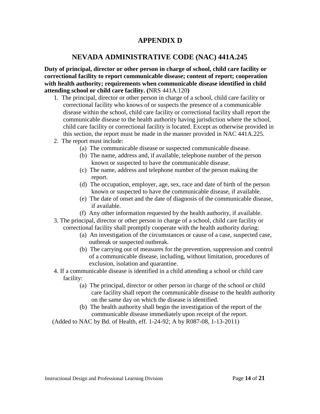## **APPENDIX D**

# **NEVADA ADMINISTRATIVE CODE (NAC) 441A.245**

**Duty of principal, director or other person in charge of school, child care facility or correctional facility to report communicable disease; content of report; cooperation with health authority; requirements when communicable disease identified in child attending school or child care facility. (**[NRS 441A.120](http://www.leg.state.nv.us/NRS/NRS-441A.html#NRS441ASec120)**)**

- 1. The principal, director or other person in charge of a school, child care facility or correctional facility who knows of or suspects the presence of a communicable disease within the school, child care facility or correctional facility shall report the communicable disease to the health authority having jurisdiction where the school, child care facility or correctional facility is located. Except as otherwise provided in this section, the report must be made in the manner provided in [NAC 441A.225.](http://www.leg.state.nv.us/nac/NAC-441A.html#NAC441ASec225)
- 2. The report must include:
	- (a) The communicable disease or suspected communicable disease.
	- (b) The name, address and, if available, telephone number of the person known or suspected to have the communicable disease.
	- (c) The name, address and telephone number of the person making the report.
	- (d) The occupation, employer, age, sex, race and date of birth of the person known or suspected to have the communicable disease, if available.
	- (e) The date of onset and the date of diagnosis of the communicable disease, if available.
	- (f) Any other information requested by the health authority, if available.
- 3. The principal, director or other person in charge of a school, child care facility or correctional facility shall promptly cooperate with the health authority during:
	- (a) An investigation of the circumstances or cause of a case, suspected case, outbreak or suspected outbreak.
	- (b) The carrying out of measures for the prevention, suppression and control of a communicable disease, including, without limitation, procedures of exclusion, isolation and quarantine.
- 4. If a communicable disease is identified in a child attending a school or child care facility:
	- (a) The principal, director or other person in charge of the school or child care facility shall report the communicable disease to the health authority on the same day on which the disease is identified.
	- (b) The health authority shall begin the investigation of the report of the communicable disease immediately upon receipt of the report.

(Added to NAC by Bd. of Health, eff. 1-24-92; A by R087-08, 1-13-2011)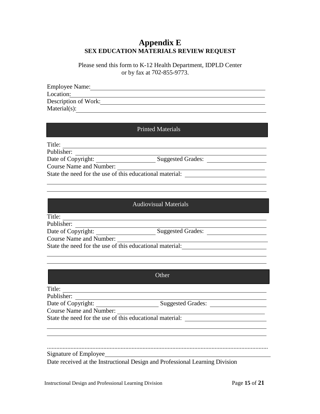# **Appendix E SEX EDUCATION MATERIALS REVIEW REQUEST**

Please send this form to K-12 Health Department, IDPLD Center or by fax at 702-855-9773.

| <b>Employee Name:</b> |  |
|-----------------------|--|
| Location:             |  |
| Description of Work:  |  |
| $Material(s)$ :       |  |

#### Printed Materials

<u> 1989 - Johann Stoff, deutscher Stoff, der Stoff, der Stoff, der Stoff, der Stoff, der Stoff, der Stoff, der S</u>

Title:

Publisher: Date of Copyright: Suggested Grades:

Course Name and Number:

State the need for the use of this educational material:

#### Audiovisual Materials

Title:

Publisher:

Date of Copyright: Suggested Grades:

Course Name and Number:

State the need for the use of this educational material:

#### **Other**

Title:

Publisher:

Date of Copyright: Suggested Grades:

Course Name and Number:

State the need for the use of this educational material:

.............................................................................................................................................

Signature of Employee

Date received at the Instructional Design and Professional Learning Division

<u> 1990 - Johann Barbara, martxa a</u>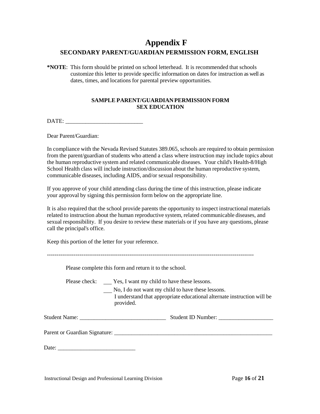# **Appendix F SECONDARY PARENT/GUARDIAN PERMISSION FORM, ENGLISH**

**\*NOTE**: This form should be printed on school letterhead. It is recommended that schools customize this letter to provide specific information on dates for instruction as well as dates, times, and locations for parental preview opportunities.

#### **SAMPLE PARENT/GUARDIAN PERMISSION FORM SEX EDUCATION**

DATE: \_\_\_\_\_\_\_\_\_\_\_\_\_\_\_\_\_\_\_\_\_\_\_\_\_\_\_

Dear Parent/Guardian:

In compliance with the Nevada Revised Statutes 389.065, schools are required to obtain permission from the parent/guardian of students who attend a class where instruction may include topics about the human reproductive system and related communicable diseases. Your child's Health-8/High School Health class will include instruction/discussion about the human reproductive system, communicable diseases, including AIDS, and/or sexual responsibility.

If you approve of your child attending class during the time of this instruction, please indicate your approval by signing this permission form below on the appropriate line.

It is also required that the school provide parents the opportunity to inspect instructional materials related to instruction about the human reproductive system, related communicable diseases, and sexual responsibility. If you desire to review these materials or if you have any questions, please call the principal's office.

Keep this portion of the letter for your reference.

------------------------------------------------------------------------------------------------------------ Please complete this form and return it to the school. Please check: \_\_\_\_\_ Yes, I want my child to have these lessons. No, I do not want my child to have these lessons. I understand that appropriate educational alternate instruction will be provided. Student Name: \_\_\_\_\_\_\_\_\_\_\_\_\_\_\_\_\_\_\_\_\_\_\_\_\_\_\_\_\_\_ Student ID Number: \_\_\_\_\_\_\_\_\_\_\_\_\_\_\_\_\_\_\_ Parent or Guardian Signature: \_\_\_\_\_\_\_\_\_\_\_\_\_\_\_\_\_\_\_\_\_\_\_\_\_\_\_\_\_\_\_\_\_\_\_\_\_\_\_\_\_\_\_\_\_\_\_\_\_\_\_\_\_\_\_ Date: \_\_\_\_\_\_\_\_\_\_\_\_\_\_\_\_\_\_\_\_\_\_\_\_\_\_\_

Instructional Design and Professional Learning Division Page **16** of **21**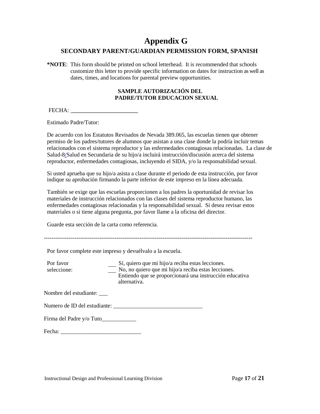# **Appendix G SECONDARY PARENT/GUARDIAN PERMISSION FORM, SPANISH**

**\*NOTE**: This form should be printed on school letterhead. It is recommended that schools customize this letter to provide specific information on dates for instruction as well as dates, times, and locations for parental preview opportunities.

#### **SAMPLE AUTORIZACIÓN DEL PADRE/TUTOR EDUCACION SEXUAL**

FECHA:

Estimado Padre/Tutor:

De acuerdo con los Estatutos Revisados de Nevada 389.065, las escuelas tienen que obtener permiso de los padres/tutores de alumnos que asistan a una clase donde la podría incluir temas relacionados con el sistema reproductor y las enfermedades contagiosas relacionadas. La clase de Salud-8/Salud en Secundaria de su hijo/a incluirá instrucción/discusión acerca del sistema reproductor, enfermedades contagiosas, incluyendo el SIDA, y/o la responsabilidad sexual.

Si usted aprueba que su hijo/a asista a clase durante el periodo de esta instrucción, por favor indique su aprobación firmando la parte inferior de este impreso en la línea adecuada.

También se exige que las escuelas proporcionen a los padres la oportunidad de revisar los materiales de instrucción relacionados con las clases del sistema reproductor humano, las enfermedades contagiosas relacionadas y la responsabilidad sexual. Si desea revisar estos materiales o si tiene alguna pregunta, por favor llame a la oficina del director.

Guarde esta sección de la carta como referencia.

-------------------------------------------------------------------------------------------------------------

Por favor complete este impreso y devuélvalo a la escuela.

Por favor seleccione: Sí, quiero que mi hijo/a reciba estas lecciones. No, no quiero que mi hijo/a reciba estas lecciones. Entiendo que se proporcionará una instrucción educativa alternativa.

Nombre del estudiante: \_\_\_

Numero de ID del estudiante:

Firma del Padre y/o Tuto\_\_\_\_\_\_\_\_\_\_\_\_

Fecha:  $\Box$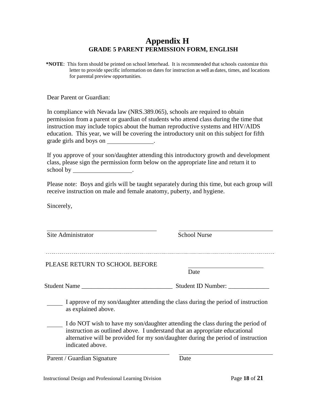# **Appendix H GRADE 5 PARENT PERMISSION FORM, ENGLISH**

**\*NOTE**: This form should be printed on school letterhead. It is recommended that schools customize this letter to provide specific information on dates for instruction as well as dates, times, and locations for parental preview opportunities.

Dear Parent or Guardian:

In compliance with Nevada law (NRS.389.065), schools are required to obtain permission from a parent or guardian of students who attend class during the time that instruction may include topics about the human reproductive systems and HIV/AIDS education. This year, we will be covering the introductory unit on this subject for fifth grade girls and boys on .

If you approve of your son/daughter attending this introductory growth and development class, please sign the permission form below on the appropriate line and return it to school by \_\_\_\_\_\_\_\_\_\_\_\_\_\_\_\_\_\_\_\_\_.

Please note: Boys and girls will be taught separately during this time, but each group will receive instruction on male and female anatomy, puberty, and hygiene.

Sincerely,

Site Administrator School Nurse PLEASE RETURN TO SCHOOL BEFORE Date Student Name \_\_\_\_\_\_\_\_\_\_\_\_\_\_\_\_\_\_\_\_\_\_\_\_\_\_\_\_\_ Student ID Number: \_\_\_\_\_\_\_\_\_\_\_\_\_ I approve of my son/daughter attending the class during the period of instruction as explained above. I do NOT wish to have my son/daughter attending the class during the period of instruction as outlined above. I understand that an appropriate educational alternative will be provided for my son/daughter during the period of instruction indicated above.

Parent / Guardian Signature Date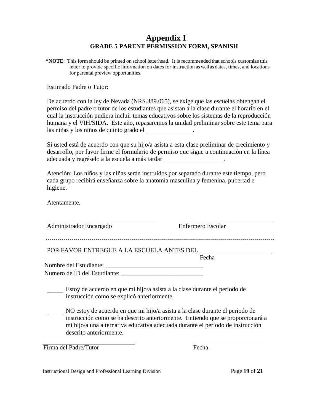# **Appendix I GRADE 5 PARENT PERMISSION FORM, SPANISH**

**\*NOTE**: This form should be printed on school letterhead. It is recommended that schools customize this letter to provide specific information on dates for instruction as well as dates, times, and locations for parental preview opportunities.

Estimado Padre o Tutor:

De acuerdo con la ley de Nevada (NRS.389.065), se exige que las escuelas obtengan el permiso del padre o tutor de los estudiantes que asistan a la clase durante el horario en el cual la instrucción pudiera incluir temas educativos sobre los sistemas de la reproducción humana y el VIH/SIDA. Este año, repasaremos la unidad preliminar sobre este tema para las niñas y los niños de quinto grado el .

Si usted está de acuerdo con que su hijo/a asista a esta clase preliminar de crecimiento y desarrollo, por favor firme el formulario de permiso que sigue a continuación en la línea adecuada y regréselo a la escuela a más tardar .

Atención: Los niños y las niñas serán instruidos por separado durante este tiempo, pero cada grupo recibirá enseñanza sobre la anatomía masculina y femenina, pubertad e higiene.

Atentamente,

| Administrador Encargado                    | Enfermero Escolar                                                                                                                                                                                                                                |
|--------------------------------------------|--------------------------------------------------------------------------------------------------------------------------------------------------------------------------------------------------------------------------------------------------|
| POR FAVOR ENTREGUE A LA ESCUELA ANTES DEL  |                                                                                                                                                                                                                                                  |
|                                            | Fecha                                                                                                                                                                                                                                            |
| Nombre del Estudiante:                     |                                                                                                                                                                                                                                                  |
| Numero de ID del Estudiante:               |                                                                                                                                                                                                                                                  |
| instrucción como se explicó anteriormente. | Estoy de acuerdo en que mi hijo/a asista a la clase durante el periodo de                                                                                                                                                                        |
|                                            | NO estoy de acuerdo en que mi hijo/a asista a la clase durante el periodo de<br>instrucción como se ha descrito anteriormente. Entiendo que se proporcionará a<br>mi hijo/a una alternativa educativa adecuada durante el periodo de instrucción |

Firma del Padre/Tutor Fecha

Instructional Design and Professional Learning Division Page **19** of **21**

descrito anteriormente.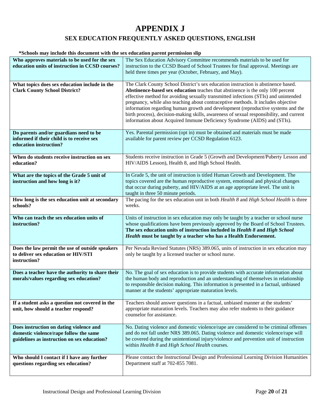# **APPENDIX J**

## **SEX EDUCATION FREQUENTLY ASKED QUESTIONS, ENGLISH**

#### **\*Schools may include this document with the sex education parent permission slip**

| Who approves materials to be used for the sex<br>education units of instruction in CCSD courses?                                 | The Sex Education Advisory Committee recommends materials to be used for<br>instruction to the CCSD Board of School Trustees for final approval. Meetings are                                                                                                                                                                                                                                                                                                                                                                                                                                              |
|----------------------------------------------------------------------------------------------------------------------------------|------------------------------------------------------------------------------------------------------------------------------------------------------------------------------------------------------------------------------------------------------------------------------------------------------------------------------------------------------------------------------------------------------------------------------------------------------------------------------------------------------------------------------------------------------------------------------------------------------------|
|                                                                                                                                  | held three times per year (October, February, and May).                                                                                                                                                                                                                                                                                                                                                                                                                                                                                                                                                    |
| What topics does sex education include in the<br><b>Clark County School District?</b>                                            | The Clark County School District's sex education instruction is abstinence based.<br>Abstinence-based sex education teaches that abstinence is the only 100 percent<br>effective method for avoiding sexually transmitted infections (STIs) and unintended<br>pregnancy, while also teaching about contraceptive methods. It includes objective<br>information regarding human growth and development (reproductive systems and the<br>birth process), decision-making skills, awareness of sexual responsibility, and current<br>information about Acquired Immune Deficiency Syndrome (AIDS) and (STIs). |
| Do parents and/or guardians need to be<br>informed if their child is to receive sex<br>education instruction?                    | Yes. Parental permission (opt in) must be obtained and materials must be made<br>available for parent review per CCSD Regulation 6123.                                                                                                                                                                                                                                                                                                                                                                                                                                                                     |
| When do students receive instruction on sex<br>education?                                                                        | Students receive instruction in Grade 5 (Growth and Development/Puberty Lesson and<br>HIV/AIDS Lesson), Health 8, and High School Health.                                                                                                                                                                                                                                                                                                                                                                                                                                                                  |
| What are the topics of the Grade 5 unit of<br>instruction and how long is it?                                                    | In Grade 5, the unit of instruction is titled Human Growth and Development. The<br>topics covered are the human reproductive system, emotional and physical changes<br>that occur during puberty, and HIV/AIDS at an age appropriate level. The unit is<br>taught in three 50 minute periods.                                                                                                                                                                                                                                                                                                              |
| How long is the sex education unit at secondary<br>schools?                                                                      | The pacing for the sex education unit in both Health 8 and High School Health is three<br>weeks.                                                                                                                                                                                                                                                                                                                                                                                                                                                                                                           |
| Who can teach the sex education units of<br>instruction?                                                                         | Units of instruction in sex education may only be taught by a teacher or school nurse<br>whose qualifications have been previously approved by the Board of School Trustees.<br>The sex education units of instruction included in Health 8 and High School<br>Health must be taught by a teacher who has a Health Endorsement.                                                                                                                                                                                                                                                                            |
| Does the law permit the use of outside speakers<br>to deliver sex education or HIV/STI<br>instruction?                           | Per Nevada Revised Statutes (NRS) 389.065, units of instruction in sex education may<br>only be taught by a licensed teacher or school nurse.                                                                                                                                                                                                                                                                                                                                                                                                                                                              |
| Does a teacher have the authority to share their<br>morals/values regarding sex education?                                       | No. The goal of sex education is to provide students with accurate information about<br>the human body and reproduction and an understanding of themselves in relationship<br>to responsible decision making. This information is presented in a factual, unbiased<br>manner at the students' appropriate maturation levels.                                                                                                                                                                                                                                                                               |
| If a student asks a question not covered in the<br>unit, how should a teacher respond?                                           | Teachers should answer questions in a factual, unbiased manner at the students'<br>appropriate maturation levels. Teachers may also refer students to their guidance<br>counselor for assistance.                                                                                                                                                                                                                                                                                                                                                                                                          |
| Does instruction on dating violence and<br>domestic violence/rape follow the same<br>guidelines as instruction on sex education? | No. Dating violence and domestic violence/rape are considered to be criminal offenses<br>and do not fall under NRS 389.065. Dating violence and domestic violence/rape will<br>be covered during the unintentional injury/violence and prevention unit of instruction<br>within Health 8 and High School Health courses.                                                                                                                                                                                                                                                                                   |
| Who should I contact if I have any further<br>questions regarding sex education?                                                 | Please contact the Instructional Design and Professional Learning Division Humanities<br>Department staff at 702-855 7081.                                                                                                                                                                                                                                                                                                                                                                                                                                                                                 |